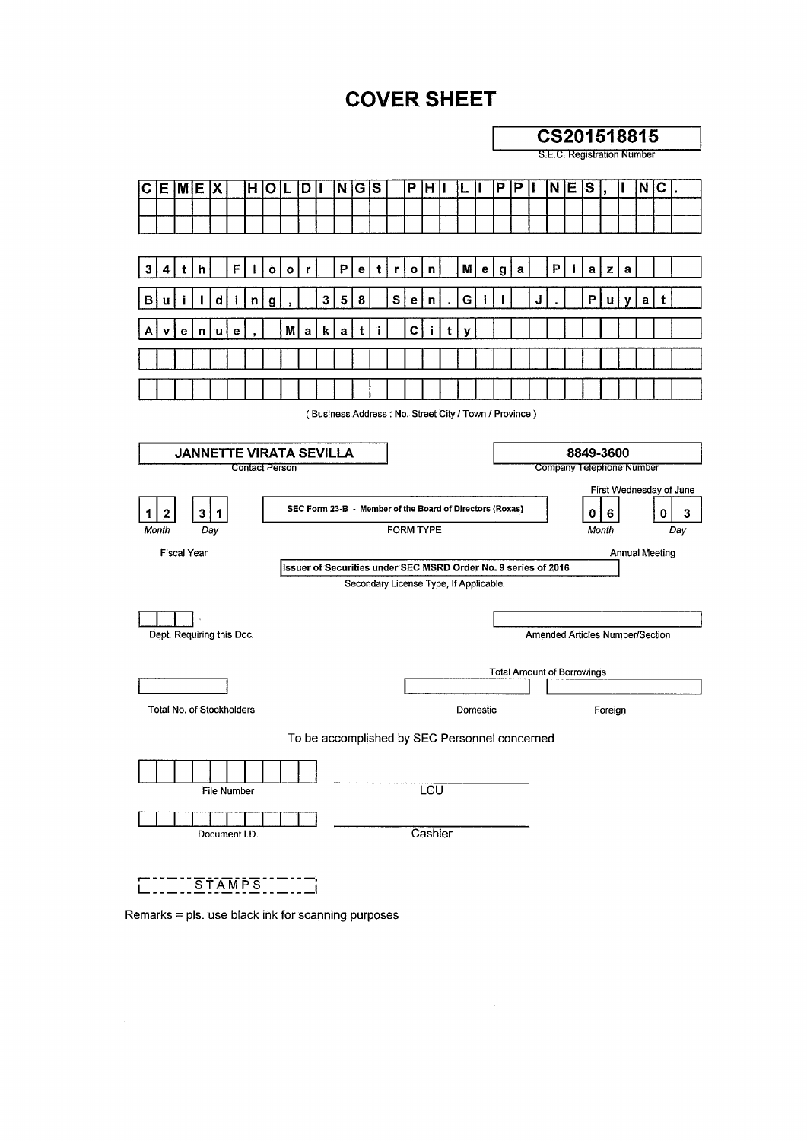### **COVER SHEET**





÷.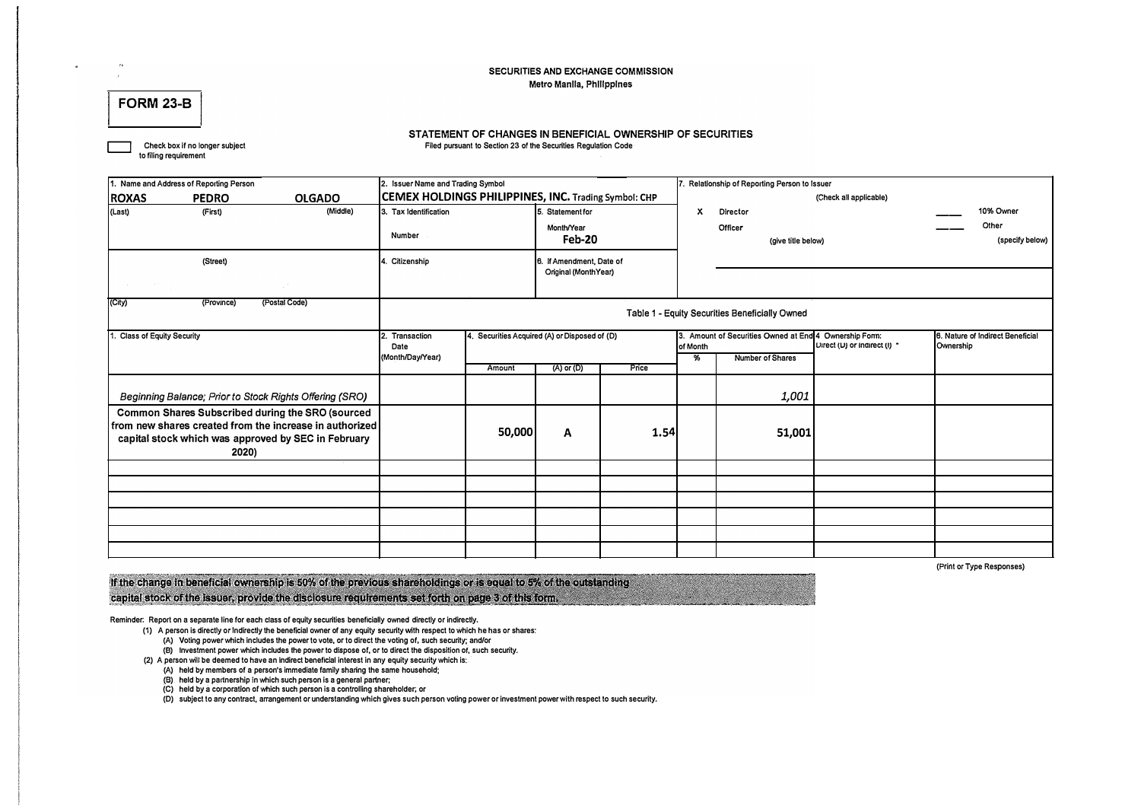#### **SECURITIES AND EXCHANGE COMMISSION Metro Manila, Phillpplnes**

#### **FORM 23-B**

#### **STATEMENT OF CHANGES IN BENEFICIAL OWNERSHIP OF SECURITIES Filed pursuant to Section 23 or the Securities Regulation Code**

**D Check box if no longer subject to filing requirement** 

|                                 | 1. Name and Address of Reporting Person |                                                                                                                                                                    | 2. Issuer Name and Trading Symbol                    |                                               |                                                  |       | 7. Relationship of Reporting Person to Issuer |                                                        |                              |                                               |  |  |  |
|---------------------------------|-----------------------------------------|--------------------------------------------------------------------------------------------------------------------------------------------------------------------|------------------------------------------------------|-----------------------------------------------|--------------------------------------------------|-------|-----------------------------------------------|--------------------------------------------------------|------------------------------|-----------------------------------------------|--|--|--|
| <b>ROXAS</b>                    | <b>PEDRO</b>                            | <b>OLGADO</b>                                                                                                                                                      | CEMEX HOLDINGS PHILIPPINES, INC. Trading Symbol: CHP |                                               |                                                  |       |                                               |                                                        | (Check all applicable)       |                                               |  |  |  |
| (Last)                          | (First)                                 | (Middle)                                                                                                                                                           | 3. Tax Identification                                |                                               | 5. Statement for                                 |       | x                                             | Director                                               |                              | 10% Owner                                     |  |  |  |
|                                 |                                         |                                                                                                                                                                    | Number                                               |                                               | Month/Year<br>Feb-20                             |       |                                               | Officer<br>(give title below)                          |                              | Other<br>(specify below)                      |  |  |  |
|                                 | (Street)                                |                                                                                                                                                                    | 4. Citizenship                                       |                                               | 6. If Amendment, Date of<br>Original (MonthYear) |       |                                               |                                                        |                              |                                               |  |  |  |
|                                 |                                         |                                                                                                                                                                    |                                                      |                                               |                                                  |       |                                               |                                                        |                              |                                               |  |  |  |
| (City)                          | (Province)                              | (Postal Code)                                                                                                                                                      | Table 1 - Equity Securities Beneficially Owned       |                                               |                                                  |       |                                               |                                                        |                              |                                               |  |  |  |
| <b>Class of Equity Security</b> |                                         |                                                                                                                                                                    | 2. Transaction<br>Date                               | 4. Securities Acquired (A) or Disposed of (D) |                                                  |       | of Month                                      | 3. Amount of Securities Owned at End 4 Ownership Form: | Uirect (U) or indirect (I) " | 6. Nature of Indirect Beneficial<br>Ownership |  |  |  |
|                                 |                                         |                                                                                                                                                                    | (Month/Day/Year)                                     | Amount                                        | (A) or (D)                                       | Price | $\frac{1}{2}$                                 | <b>Number of Shares</b>                                |                              |                                               |  |  |  |
|                                 |                                         | Beginning Balance; Prior to Stock Rights Offering (SRO)                                                                                                            |                                                      |                                               |                                                  |       |                                               | 1,001                                                  |                              |                                               |  |  |  |
|                                 | 2020)                                   | Common Shares Subscribed during the SRO (sourced<br>from new shares created from the increase in authorized<br>capital stock which was approved by SEC in February |                                                      | 50,000                                        | Α                                                | 1.54  |                                               | 51,001                                                 |                              |                                               |  |  |  |
|                                 |                                         |                                                                                                                                                                    |                                                      |                                               |                                                  |       |                                               |                                                        |                              |                                               |  |  |  |
|                                 |                                         |                                                                                                                                                                    |                                                      |                                               |                                                  |       |                                               |                                                        |                              |                                               |  |  |  |
|                                 |                                         |                                                                                                                                                                    |                                                      |                                               |                                                  |       |                                               |                                                        |                              |                                               |  |  |  |
|                                 |                                         |                                                                                                                                                                    |                                                      |                                               |                                                  |       |                                               |                                                        |                              |                                               |  |  |  |
|                                 |                                         |                                                                                                                                                                    |                                                      |                                               |                                                  |       |                                               |                                                        |                              |                                               |  |  |  |
|                                 |                                         |                                                                                                                                                                    |                                                      |                                               |                                                  |       |                                               |                                                        |                              |                                               |  |  |  |

**(Print or Type Responses)** 

If the change in beneficial ownership is 50% of the previous shareholdings or is equal to 5% of the outstanding capital stock of the issuer, provide the disclosure requirements set forth on page 3 of this form.

Reminder: Report on a separate line for each class of equity securities beneficially owned directly or indirectly.

- **(1) A person is directly or Indirectly the beneficial owner of any equity security with respect to which he has or shares:** 
	- **{A) Voling power which includes the power to vote, or to direct the voting of, such security; and/or**
	- **{B) Investment power which includes the power to dispose or, or to direct the disposition or, such security.**
- **(2) A person will be deemed to have an Indirect beneficial interest in any equity security which is: {A) held by members of a person's immediate family sharing the same household;** 
	- **(B) held by a partnership In which such person is a general partner.**
	-
	- **(C) held by a corporation or which such person is a controlling shareholder; or**

**{D) subject to any contract, arrangement or understanding which gives such person voling power or investment power with respect to such security.**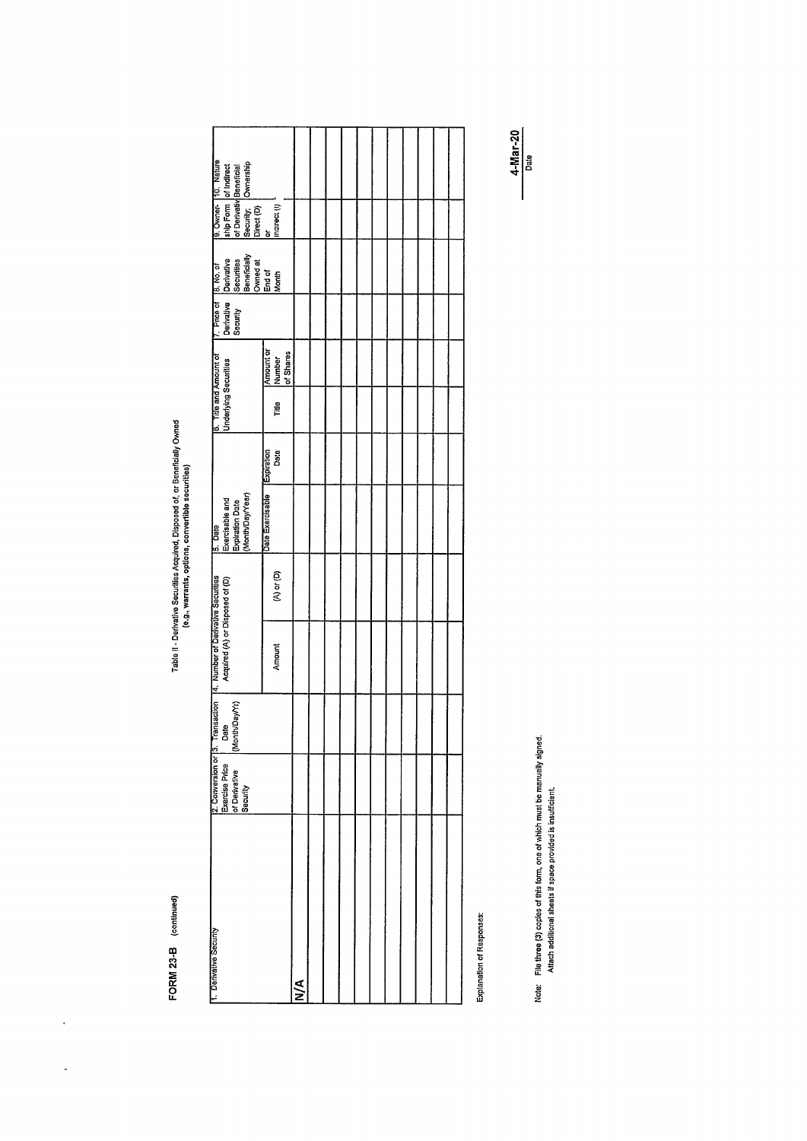FORM 23-B (continued)

 $\ddot{\phantom{0}}$ 

 $\ddot{\phantom{0}}$ 

Table II - Derivative Securities Acquired, Disposed of, or Beneficially Owned<br>(e.g., warrants, options, convertible securities)

| 9. Owner- 130. Nature<br>ship Form of Indirect<br>of Denvativ Beneticial<br>Security: Ownership<br>officet (p)<br>Indirect (p)        |                                                        |   |  |  |  |  |  |
|---------------------------------------------------------------------------------------------------------------------------------------|--------------------------------------------------------|---|--|--|--|--|--|
|                                                                                                                                       |                                                        |   |  |  |  |  |  |
| 7. Price of 8. No. of<br>Denvative Denvative<br>Security Securities<br>Security Remetically<br>Denveral Remetical<br>End of<br>End of |                                                        |   |  |  |  |  |  |
|                                                                                                                                       |                                                        |   |  |  |  |  |  |
|                                                                                                                                       | Amount or<br> Number<br> of Shares                     |   |  |  |  |  |  |
| <b>Underlying Securities</b>                                                                                                          | Title                                                  |   |  |  |  |  |  |
|                                                                                                                                       | Date                                                   |   |  |  |  |  |  |
| Exercisable and<br>Expiration Date<br>(Month/Day/Year)                                                                                | Date Exercisable [Expiration                           |   |  |  |  |  |  |
|                                                                                                                                       | $\overset{\circ}{\alpha}$ or $\overset{\circ}{\alpha}$ |   |  |  |  |  |  |
| Acquired (A) or Disposed of (D)                                                                                                       | Amount                                                 |   |  |  |  |  |  |
| 2. Conversion or  3. Transadion   4. Number of Darivative Securities<br> Exercise Price   Date  <br>(Month/Day/Yr)                    |                                                        |   |  |  |  |  |  |
| of Derivative<br>Security                                                                                                             |                                                        |   |  |  |  |  |  |
|                                                                                                                                       |                                                        |   |  |  |  |  |  |
|                                                                                                                                       |                                                        | ₹ |  |  |  |  |  |

Explanation of Responses:

Note: File three (3) copies of this form, one of which must be manually signed.<br>Attach additional sheets if space provided is insufficient.

4-Mar-20